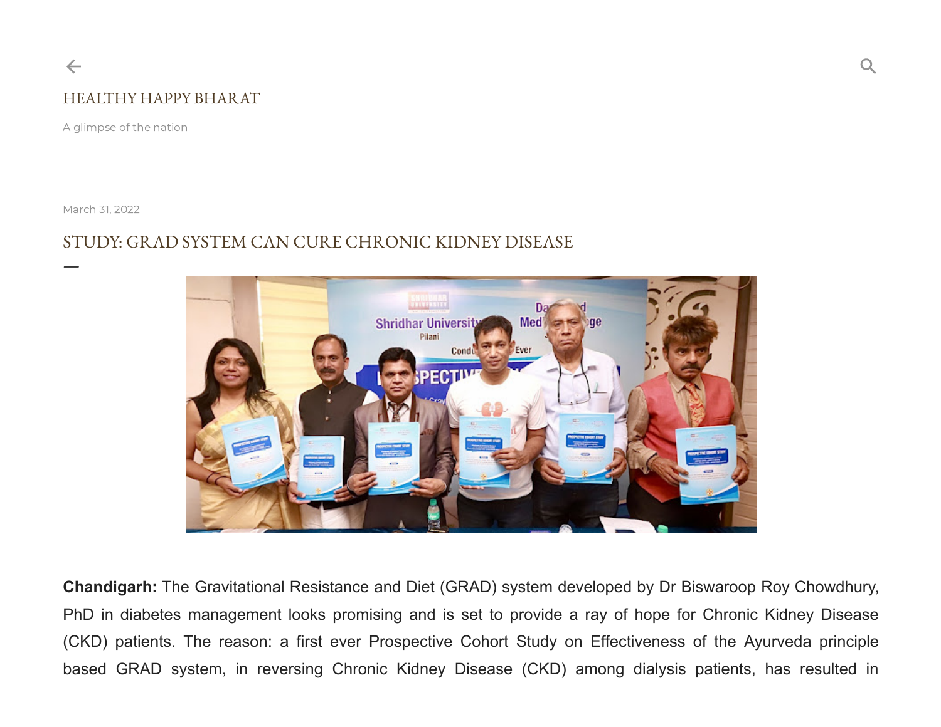

A glimpse of the nation

[March](https://healthyhappybharat.blogspot.com/2022/03/study-grad-system-can-cure-chronic.html) 31, 2022

—

## STUDY: GRAD SYSTEM CAN CURE CHRONIC KIDNEY DISEASE



**Chandigarh:** The Gravitational Resistance and Diet (GRAD) system developed by Dr Biswaroop Roy Chowdhury, PhD in diabetes management looks promising and is set to provide a ray of hope for Chronic Kidney Disease (CKD) patients. The reason: a first ever Prospective Cohort Study on Effectiveness of the Ayurveda principle based GRAD system, in reversing Chronic Kidney Disease (CKD) among dialysis patients, has resulted in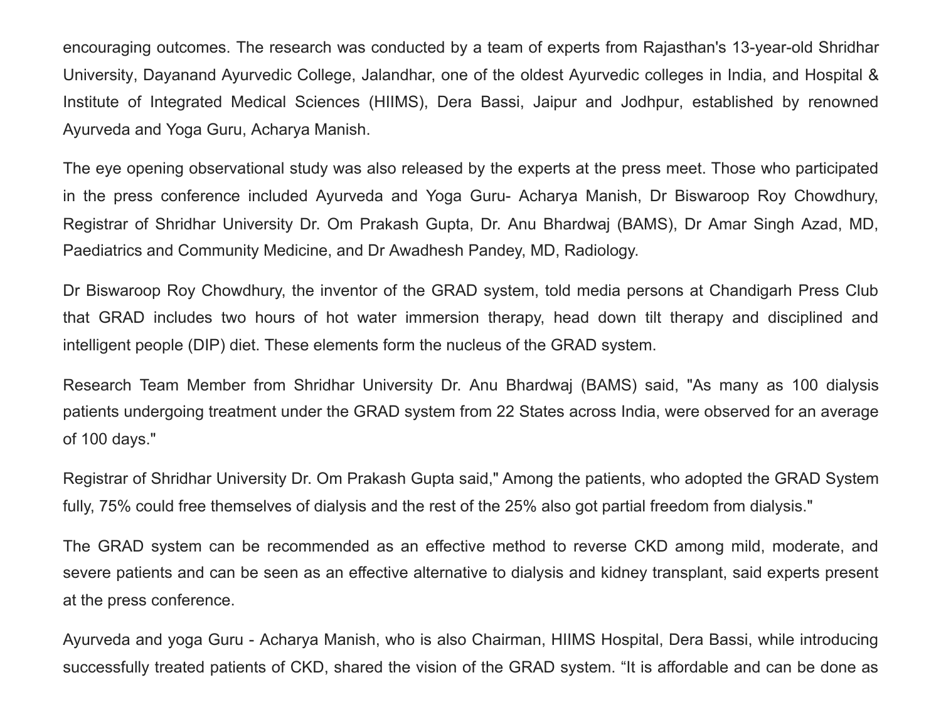encouraging outcomes. The research was conducted by a team of experts from Rajasthan's 13-year-old Shridhar University, Dayanand Ayurvedic College, Jalandhar, one of the oldest Ayurvedic colleges in India, and Hospital & Institute of Integrated Medical Sciences (HIIMS), Dera Bassi, Jaipur and Jodhpur, established by renowned Ayurveda and Yoga Guru, Acharya Manish.

The eye opening observational study was also released by the experts at the press meet. Those who participated in the press conference included Ayurveda and Yoga Guru- Acharya Manish, Dr Biswaroop Roy Chowdhury, Registrar of Shridhar University Dr. Om Prakash Gupta, Dr. Anu Bhardwaj (BAMS), Dr Amar Singh Azad, MD, Paediatrics and Community Medicine, and Dr Awadhesh Pandey, MD, Radiology.

Dr Biswaroop Roy Chowdhury, the inventor of the GRAD system, told media persons at Chandigarh Press Club that GRAD includes two hours of hot water immersion therapy, head down tilt therapy and disciplined and intelligent people (DIP) diet. These elements form the nucleus of the GRAD system.

Research Team Member from Shridhar University Dr. Anu Bhardwaj (BAMS) said, "As many as 100 dialysis patients undergoing treatment under the GRAD system from 22 States across India, were observed for an average of 100 days."

Registrar of Shridhar University Dr. Om Prakash Gupta said," Among the patients, who adopted the GRAD System fully, 75% could free themselves of dialysis and the rest of the 25% also got partial freedom from dialysis."

The GRAD system can be recommended as an effective method to reverse CKD among mild, moderate, and severe patients and can be seen as an effective alternative to dialysis and kidney transplant, said experts present at the press conference.

Ayurveda and yoga Guru - Acharya Manish, who is also Chairman, HIIMS Hospital, Dera Bassi, while introducing successfully treated patients of CKD, shared the vision of the GRAD system. "It is affordable and can be done as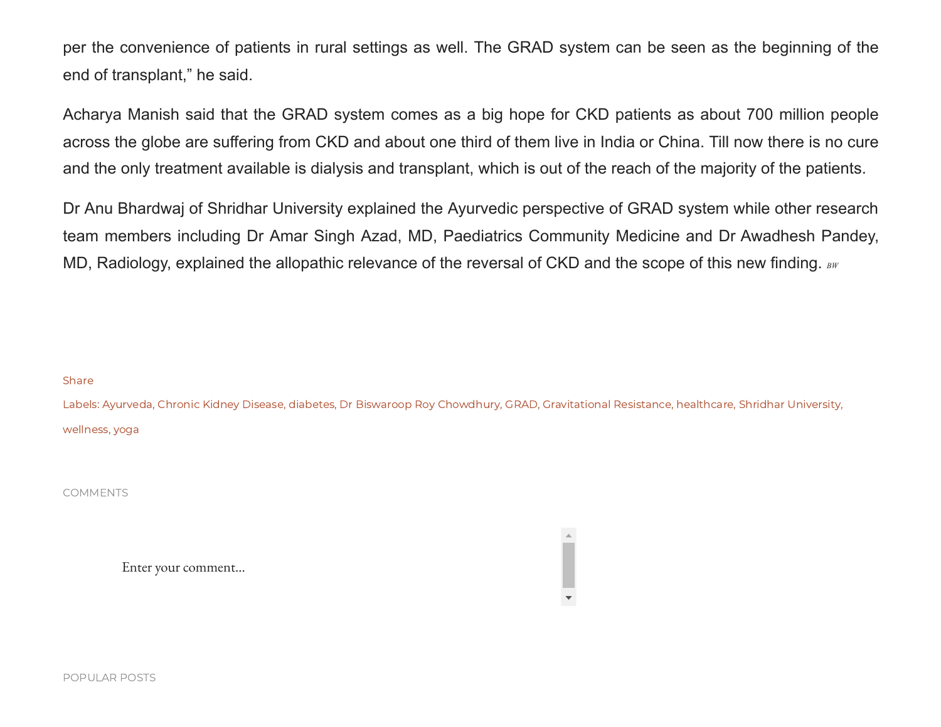per the convenience of patients in rural settings as well. The GRAD system can be seen as the beginning of the end of transplant," he said.

Acharya Manish said that the GRAD system comes as a big hope for CKD patients as about 700 million people across the globe are suffering from CKD and about one third of them live in India or China. Till now there is no cure and the only treatment available is dialysis and transplant, which is out of the reach of the majority of the patients.

Dr Anu Bhardwaj of Shridhar University explained the Ayurvedic perspective of GRAD system while other research team members including Dr Amar Singh Azad, MD, Paediatrics Community Medicine and Dr Awadhesh Pandey, MD, Radiology, explained the allopathic relevance of the reversal of CKD and the scope of this new finding. *BW*

## Share

Labels: [Ayurveda,](https://healthyhappybharat.blogspot.com/search/label/Ayurveda) Chronic Kidney [Disease,](https://healthyhappybharat.blogspot.com/search/label/Chronic%20Kidney%20Disease) [diabetes,](https://healthyhappybharat.blogspot.com/search/label/diabetes) Dr Biswaroop Roy [Chowdhury,](https://healthyhappybharat.blogspot.com/search/label/Dr%20Biswaroop%20Roy%20Chowdhury) [GRAD,](https://healthyhappybharat.blogspot.com/search/label/GRAD) [Gravitational](https://healthyhappybharat.blogspot.com/search/label/Gravitational%20Resistance) Resistance, [healthcare,](https://healthyhappybharat.blogspot.com/search/label/healthcare) Shridhar [University,](https://healthyhappybharat.blogspot.com/search/label/Shridhar%20University) [wellness,](https://healthyhappybharat.blogspot.com/search/label/wellness) [yoga](https://healthyhappybharat.blogspot.com/search/label/yoga)

COMMENTS

Enter your comment...

POPULAR POSTS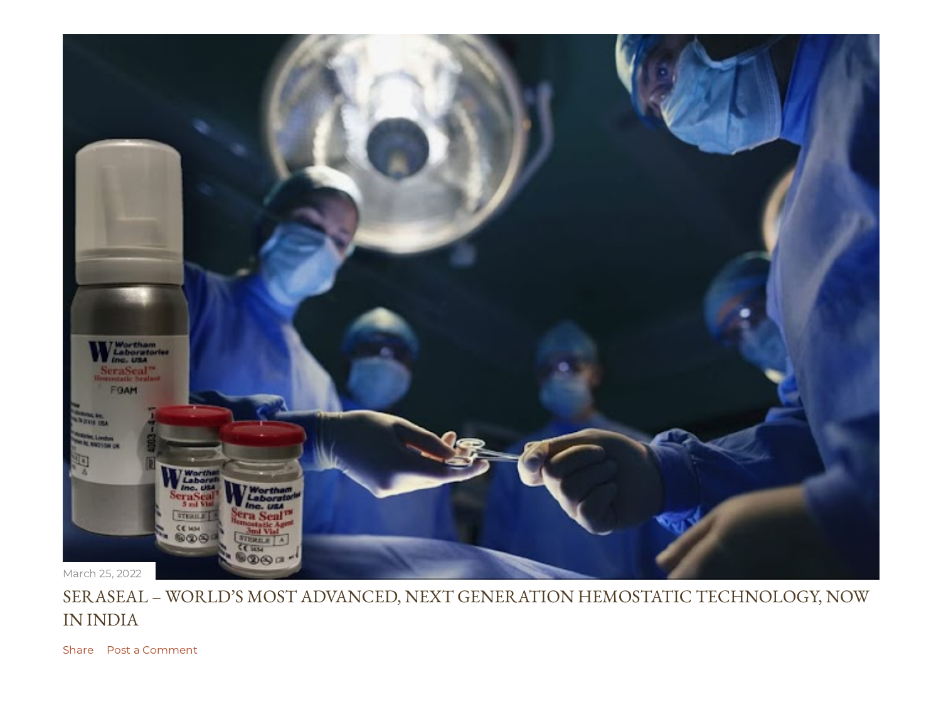

## [SERASEAL – WORLD'S MOST ADVANCED, NEXT GENERATION HEMOSTATIC TECHNOLOGY, NOW](https://healthyhappybharat.blogspot.com/2022/03/seraseal-worlds-most-advanced-next.html) IN INDIA

Share Post a [Comment](https://healthyhappybharat.blogspot.com/2022/03/seraseal-worlds-most-advanced-next.html#comments)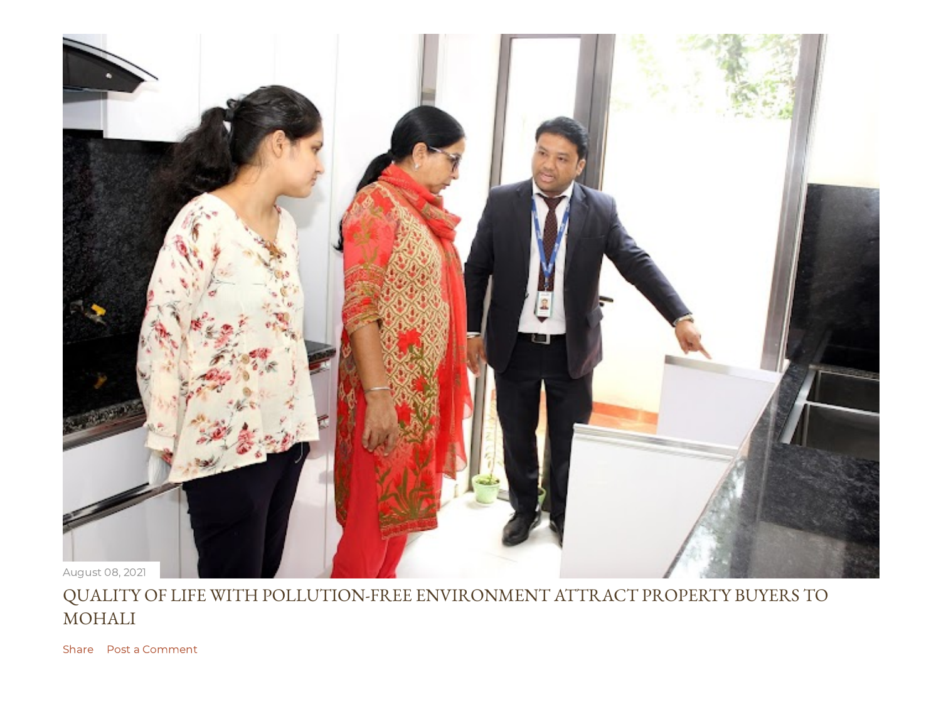

## [QUALITY OF LIFE WITH POLLUTION-FREE ENVIRONMENT ATTRACT PROPERTY BUYERS TO](https://healthyhappybharat.blogspot.com/2021/08/quality-of-life-with-pollution-free.html) MOHALI

Share Post a [Comment](https://healthyhappybharat.blogspot.com/2021/08/quality-of-life-with-pollution-free.html#comments)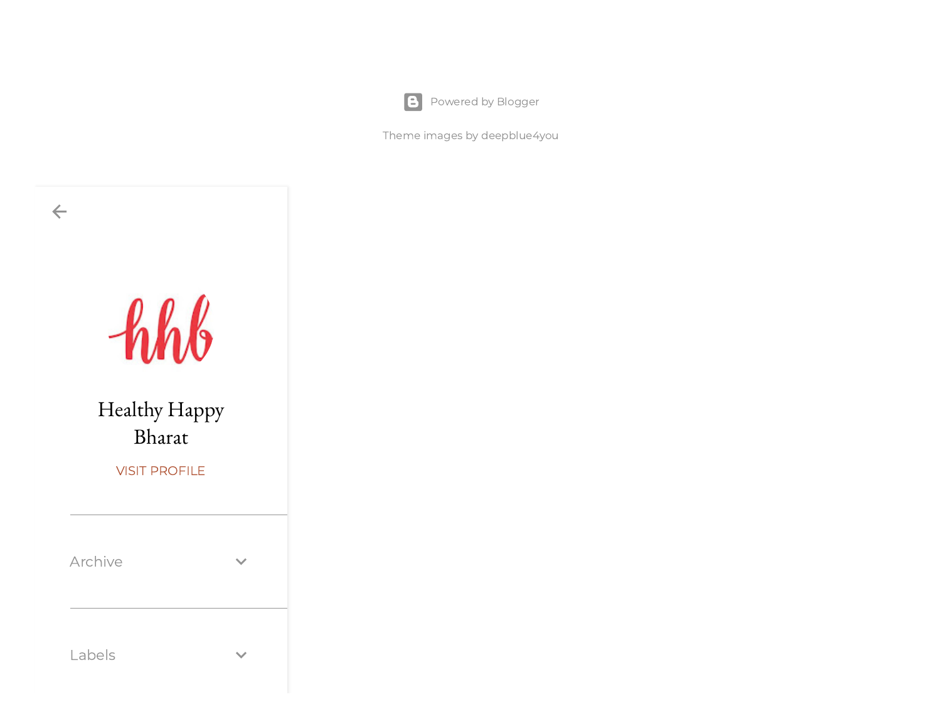**B** [Powered](https://www.blogger.com/) by Blogger

Theme images by [deepblue4you](http://www.istockphoto.com/portfolio/deepblue4you?platform=blogger)